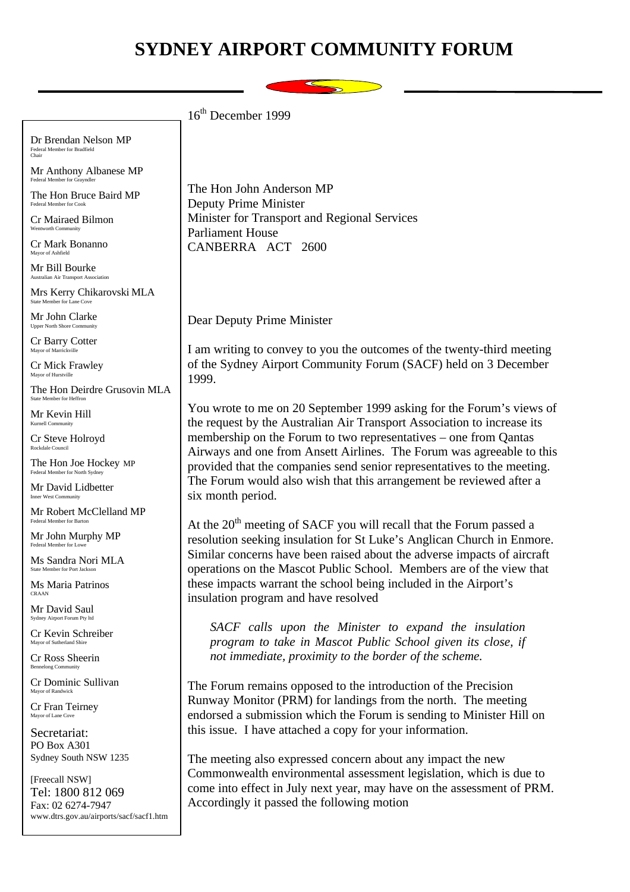## **SYDNEY AIRPORT COMMUNITY FORUM**



Dr Brendan Nelson MP Federal Member for Bradfield Chair Mr Anthony Albanese MP Federal Member for Grayndler The Hon Bruce Baird MP Federal Member for Cook Cr Mairaed Bilmon Wentworth Community Cr Mark Bonanno Mayor of Ashfie Mr Bill Bourke Australian Air Transport Association Mrs Kerry Chikarovski MLA State Member for Lane Cove Mr John Clarke Upper North Shore Community Cr Barry Cotter Mayor of Marri Cr Mick Frawley Mayor of Hurstville The Hon Deirdre Grusovin MLA State Member for Heffron Mr Kevin Hill Kurnell Community Cr Steve Holroyd Rockdale Council The Hon Joe Hockey MP Federal Member for North Sydney Mr David Lidbetter Inner West Community Mr Robert McClelland MP er for Ba Mr John Murphy MP Federal Member for Lowe Ms Sandra Nori MLA State Member for Port Jackson Ms Maria Patrinos CRAAN Mr David Saul Sydney Airport Forum Pty lt Cr Kevin Schreiber Mayor of Sutherland Shire Cr Ross Sheerin Bennelong Comp Cr Dominic Sullivan Mayor of Randwick Cr Fran Teirney Mayor of Lane Cove Secretariat: PO Box A301 Sydney South NSW 1235 [Freecall NSW] 16th December 1999 The Hon John Anderson MP Deputy Prime Minister Minister for Transport and Regional Services Parliament House CANBERRA ACT 2600 Dear Deputy Prime Minister I am writing to convey to you the outcomes of the twenty-third meeting of the Sydney Airport Community Forum (SACF) held on 3 December 1999. You wrote to me on 20 September 1999 asking for the Forum's views of the request by the Australian Air Transport Association to increase its membership on the Forum to two representatives – one from Qantas Airways and one from Ansett Airlines. The Forum was agreeable to this provided that the companies send senior representatives to the meeting. The Forum would also wish that this arrangement be reviewed after a six month period. At the  $20<sup>th</sup>$  meeting of SACF you will recall that the Forum passed a resolution seeking insulation for St Luke's Anglican Church in Enmore. Similar concerns have been raised about the adverse impacts of aircraft operations on the Mascot Public School. Members are of the view that these impacts warrant the school being included in the Airport's insulation program and have resolved *SACF calls upon the Minister to expand the insulation program to take in Mascot Public School given its close, if not immediate, proximity to the border of the scheme.* The Forum remains opposed to the introduction of the Precision Runway Monitor (PRM) for landings from the north. The meeting endorsed a submission which the Forum is sending to Minister Hill on this issue. I have attached a copy for your information. The meeting also expressed concern about any impact the new Commonwealth environmental assessment legislation, which is due to come into effect in July next year, may have on the assessment of PRM.

Accordingly it passed the following motion

Tel: 1800 812 069 Fax: 02 6274-7947

www.dtrs.gov.au/airports/sacf/sacf1.htm